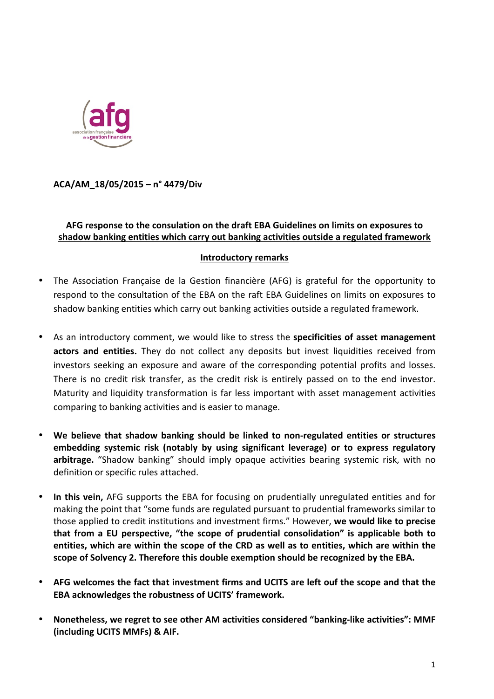

**ACA/AM\_18/05/2015 – n° 4479/Div**

## AFG response to the consulation on the draft EBA Guidelines on limits on exposures to shadow banking entities which carry out banking activities outside a regulated framework

## **Introductory remarks**

- The Association Française de la Gestion financière (AFG) is grateful for the opportunity to respond to the consultation of the EBA on the raft EBA Guidelines on limits on exposures to shadow banking entities which carry out banking activities outside a regulated framework.
- As an introductory comment, we would like to stress the **specificities of asset management actors and entities.** They do not collect any deposits but invest liquidities received from investors seeking an exposure and aware of the corresponding potential profits and losses. There is no credit risk transfer, as the credit risk is entirely passed on to the end investor. Maturity and liquidity transformation is far less important with asset management activities comparing to banking activities and is easier to manage.
- We believe that shadow banking should be linked to non-regulated entities or structures **embedding** systemic risk (notably by using significant leverage) or to express regulatory arbitrage. "Shadow banking" should imply opaque activities bearing systemic risk, with no definition or specific rules attached.
- In this vein, AFG supports the EBA for focusing on prudentially unregulated entities and for making the point that "some funds are regulated pursuant to prudential frameworks similar to those applied to credit institutions and investment firms." However, we would like to precise **that from a EU perspective.** "the scope of prudential consolidation" is applicable both to **entities, which are within the scope of the CRD as well as to entities, which are within the**  scope of Solvency 2. Therefore this double exemption should be recognized by the EBA.
- AFG welcomes the fact that investment firms and UCITS are left ouf the scope and that the **EBA** acknowledges the robustness of UCITS' framework.
- Nonetheless, we regret to see other AM activities considered "banking-like activities": MMF **(including UCITS MMFs) & AIF.**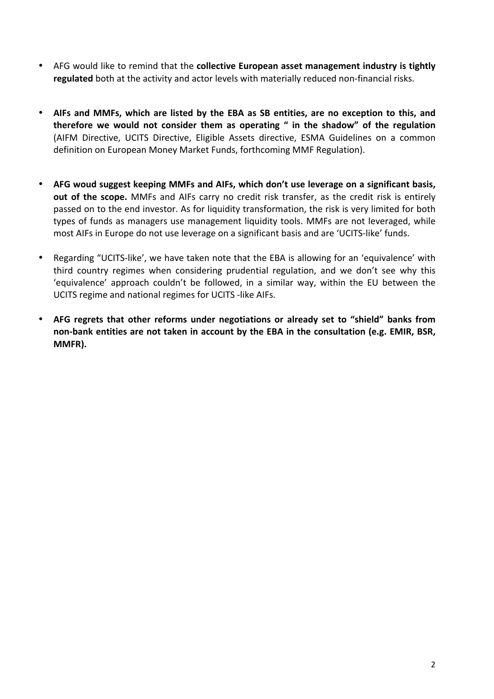- AFG would like to remind that the **collective European asset management industry is tightly** regulated both at the activity and actor levels with materially reduced non-financial risks.
- AIFs and MMFs, which are listed by the EBA as SB entities, are no exception to this, and therefore we would not consider them as operating " in the shadow" of the regulation (AIFM Directive, UCITS Directive, Eligible Assets directive, ESMA Guidelines on a common definition on European Money Market Funds, forthcoming MMF Regulation).
- AFG woud suggest keeping MMFs and AIFs, which don't use leverage on a significant basis, **out of the scope.** MMFs and AIFs carry no credit risk transfer, as the credit risk is entirely passed on to the end investor. As for liquidity transformation, the risk is very limited for both types of funds as managers use management liquidity tools. MMFs are not leveraged, while most AIFs in Europe do not use leverage on a significant basis and are 'UCITS-like' funds.
- Regarding "UCITS-like', we have taken note that the EBA is allowing for an 'equivalence' with third country regimes when considering prudential regulation, and we don't see why this 'equivalence' approach couldn't be followed, in a similar way, within the EU between the UCITS regime and national regimes for UCITS -like AIFs.
- AFG regrets that other reforms under negotiations or already set to "shield" banks from non-bank entities are not taken in account by the EBA in the consultation (e.g. EMIR, BSR, **MMFR).**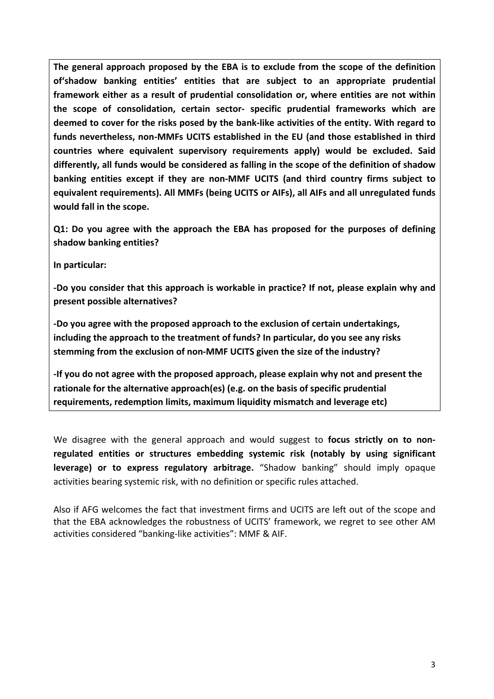The general approach proposed by the EBA is to exclude from the scope of the definition of'shadow banking entities' entities that are subject to an appropriate prudential framework either as a result of prudential consolidation or, where entities are not within **the scope of consolidation, certain sector- specific prudential frameworks which are**  deemed to cover for the risks posed by the bank-like activities of the entity. With regard to funds nevertheless, non-MMFs UCITS established in the EU (and those established in third countries where equivalent supervisory requirements apply) would be excluded. Said differently, all funds would be considered as falling in the scope of the definition of shadow **banking entities except if they are non-MMF UCITS (and third country firms subject to** equivalent requirements). All MMFs (being UCITS or AIFs), all AIFs and all unregulated funds **would fall in the scope.**

**Q1:** Do you agree with the approach the EBA has proposed for the purposes of defining **shadow banking entities?**

**In particular:**

-Do you consider that this approach is workable in practice? If not, please explain why and **present possible alternatives?**

-Do you agree with the proposed approach to the exclusion of certain undertakings, including the approach to the treatment of funds? In particular, do you see any risks stemming from the exclusion of non-MMF UCITS given the size of the industry?

-If you do not agree with the proposed approach, please explain why not and present the rationale for the alternative approach(es) (e.g. on the basis of specific prudential requirements, redemption limits, maximum liquidity mismatch and leverage etc)

We disagree with the general approach and would suggest to **focus strictly on to non**regulated entities or structures embedding systemic risk (notably by using significant **leverage)** or to express regulatory arbitrage. "Shadow banking" should imply opaque activities bearing systemic risk, with no definition or specific rules attached.

Also if AFG welcomes the fact that investment firms and UCITS are left out of the scope and that the EBA acknowledges the robustness of UCITS' framework, we regret to see other AM activities considered "banking-like activities": MMF & AIF.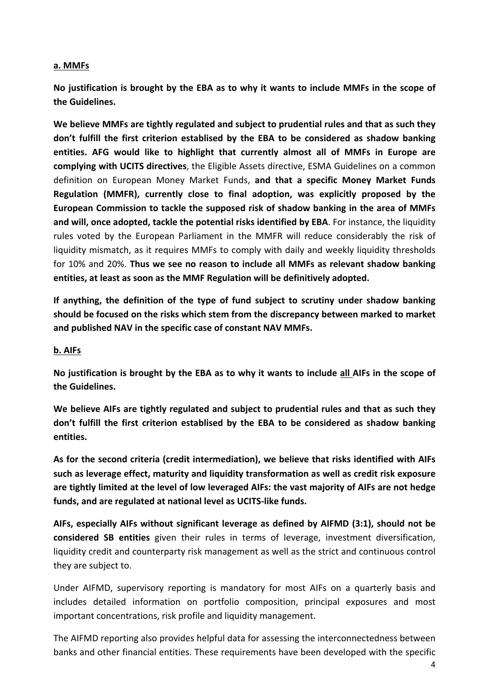## **a. MMFs**

No justification is brought by the EBA as to why it wants to include MMFs in the scope of **the Guidelines.**

We believe MMFs are tightly regulated and subject to prudential rules and that as such they don't fulfill the first criterion establised by the EBA to be considered as shadow banking **entities.** AFG would like to highlight that currently almost all of MMFs in Europe are **complying with UCITS directives**, the Eligible Assets directive, ESMA Guidelines on a common definition on European Money Market Funds, and that a specific Money Market Funds **Regulation** (MMFR), currently close to final adoption, was explicitly proposed by the **European Commission to tackle the supposed risk of shadow banking in the area of MMFs** and will, once adopted, tackle the potential risks identified by EBA. For instance, the liquidity rules voted by the European Parliament in the MMFR will reduce considerably the risk of liquidity mismatch, as it requires MMFs to comply with daily and weekly liquidity thresholds for 10% and 20%. Thus we see no reason to include all MMFs as relevant shadow banking entities, at least as soon as the MMF Regulation will be definitively adopted.

If anything, the definition of the type of fund subject to scrutiny under shadow banking should be focused on the risks which stem from the discrepancy between marked to market and published NAV in the specific case of constant NAV MMFs.

## **b. AIFs**

No justification is brought by the EBA as to why it wants to include all AIFs in the scope of **the Guidelines.** 

We believe AIFs are tightly regulated and subject to prudential rules and that as such they don't fulfill the first criterion establised by the EBA to be considered as shadow banking **entities.** 

As for the second criteria (credit intermediation), we believe that risks identified with AIFs such as leverage effect, maturity and liquidity transformation as well as credit risk exposure are tightly limited at the level of low leveraged AIFs: the vast majority of AIFs are not hedge funds, and are regulated at national level as UCITS-like funds.

AIFs, especially AIFs without significant leverage as defined by AIFMD (3:1), should not be **considered SB entities** given their rules in terms of leverage, investment diversification, liquidity credit and counterparty risk management as well as the strict and continuous control they are subject to.

Under AIFMD, supervisory reporting is mandatory for most AIFs on a quarterly basis and includes detailed information on portfolio composition, principal exposures and most important concentrations, risk profile and liquidity management.

The AIFMD reporting also provides helpful data for assessing the interconnectedness between banks and other financial entities. These requirements have been developed with the specific